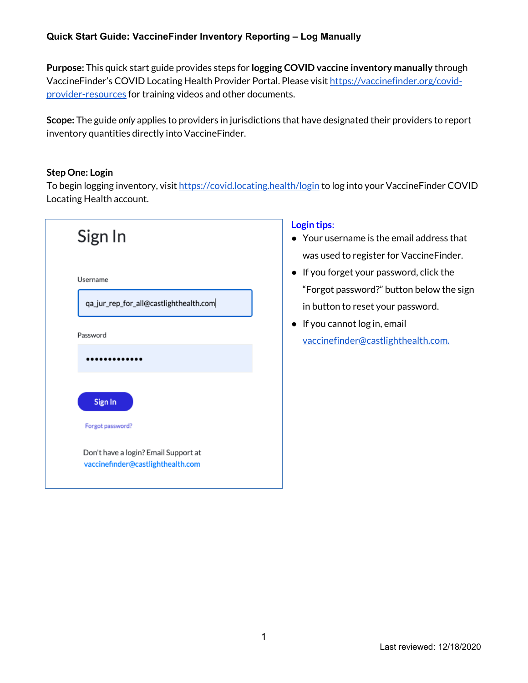# **Quick Start Guide: VaccineFinder Inventory Reporting – Log Manually**

**Purpose:** This quick start guide provides steps for **logging COVID vaccine inventory manually** through VaccineFinder's COVID Locating Health Provider Portal. Please visit https://vaccinefinder.org/covidprovider-resources for training videos and other documents.

**Scope:** The guide *only* applies to providers in jurisdictions that have designated their providers to report inventory quantities directly into VaccineFinder.

### **Step One: Login**

To begin logging inventory, visit https://covid.locating.health/login to log into your VaccineFinder COVID Locating Health account.



# **Login tips**:

- Your username is the email address that was used to register for VaccineFinder.
- If you forget your password, click the "Forgot password?" button below the sign in button to reset your password.
- If you cannot log in, email vaccinefinder@castlighthealth.com.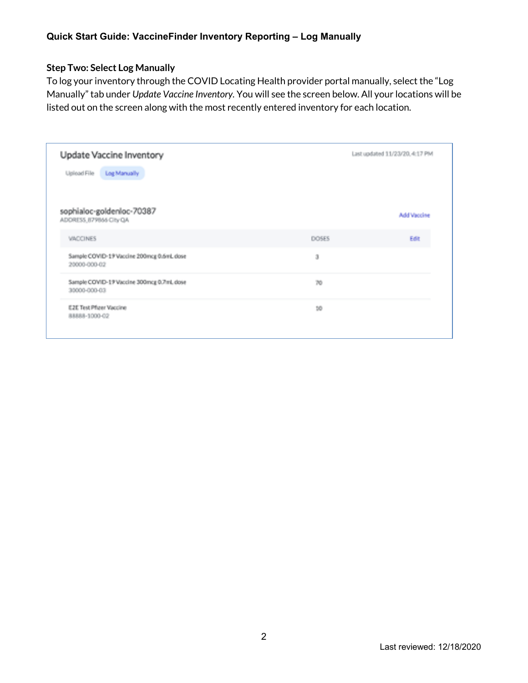# **Step Two: Select Log Manually**

To log your inventory through the COVID Locating Health provider portal manually, select the "Log Manually" tab under *Update Vaccine Inventory.* You will see the screen below. All your locations will be listed out on the screen along with the most recently entered inventory for each location.

|            | Last updated 11/23/20, 4:17 PM |
|------------|--------------------------------|
|            |                                |
|            |                                |
|            | <b>Add Vaccine</b>             |
| DOSES      | Edit                           |
| $_{\rm 3}$ |                                |
| 70         |                                |
| 10         |                                |
|            |                                |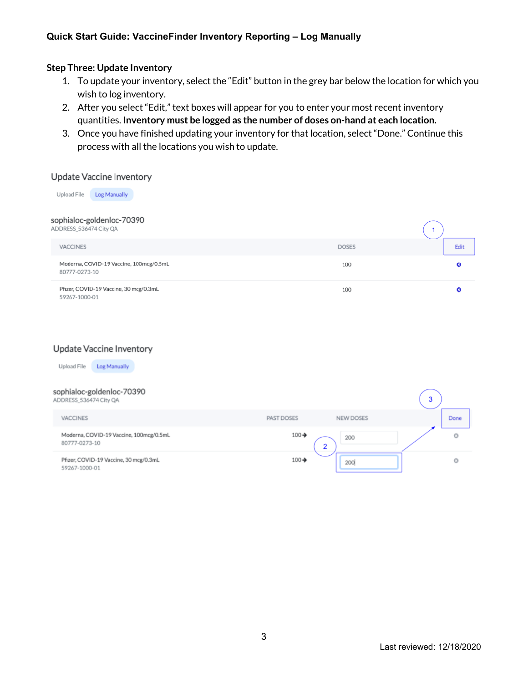# **Quick Start Guide: VaccineFinder Inventory Reporting – Log Manually**

#### **Step Three: Update Inventory**

- 1. To update your inventory, select the "Edit" button in the grey bar below the location for which you wish to log inventory.
- 2. After you select "Edit," text boxes will appear for you to enter your most recent inventory quantities. **Inventory must be logged as the number of doses on-hand at each location.**
- 3. Once you have finished updating your inventory for that location, select "Done." Continue this process with all the locations you wish to update.

#### **Update Vaccine Inventory**

Upload File Log Manually sophialoc-goldenloc-70390 ADDRESS\_536474 City QA **VACCINES DOSES** Edit Moderna, COVID-19 Vaccine, 100mcg/0.5mL 100 Ō 80777-0273-10 Pfizer, COVID-19 Vaccine, 30 mcg/0.3mL  $\bullet$ 100 59267-1000-01

#### **Update Vaccine Inventory**

Upload File Log Manually

#### sophialoc-goldenloc-70390  $\overline{\mathbf{3}}$ ADDRESS\_536474 City QA **VACCINES PAST DOSES NEW DOSES** Done Moderna, COVID-19 Vaccine, 100mcg/0.5mL  $100 -$ Ō 200 80777-0273-10  $\overline{2}$ Pfizer, COVID-19 Vaccine, 30 mcg/0.3mL 100→ O 200 59267-1000-01